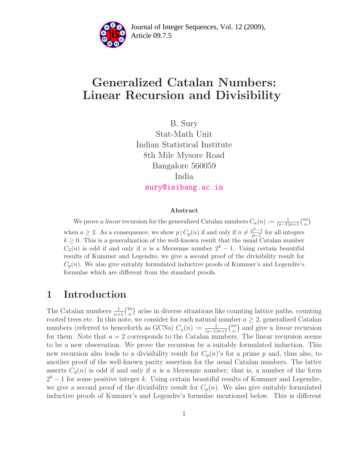

Article 09.7.5 **<sup>2</sup>** Journal of Integer Sequences, Vol. 12 (2009),

# Generalized Catalan Numbers: Linear Recursion and Divisibility

B. Sury Stat-Math Unit Indian Statistical Institute 8th Mile Mysore Road Bangalore 560059 India [sury@isibang.ac.in](mailto:sury@isibang.ac.in)

#### Abstract

We prove a linear recursion for the generalized Catalan numbers  $C_a(n) := \frac{1}{(a-1)n+1} {an \choose n}$  $\binom{m}{n}$ when  $a \geq 2$ . As a consequence, we show  $p \mid C_p(n)$  if and only if  $n \neq \frac{p^k-1}{p-1}$  $\frac{p^2-1}{p-1}$  for all integers  $k \geq 0$ . This is a generalization of the well-known result that the usual Catalan number  $C_2(n)$  is odd if and only if n is a Mersenne number  $2^k - 1$ . Using certain beautiful results of Kummer and Legendre, we give a second proof of the divisibility result for  $C_p(n)$ . We also give suitably formulated inductive proofs of Kummer's and Legendre's formulae which are different from the standard proofs.

### 1 Introduction

The Catalan numbers  $\frac{1}{n+1} \binom{2n}{n}$  $\binom{2n}{n}$  arise in diverse situations like counting lattice paths, counting rooted trees etc. In this note, we consider for each natural number  $a \geq 2$ , generalized Catalan numbers (referred to henceforth as GCNs)  $C_a(n) := \frac{1}{(a-1)n+1} {an \choose n}$  $\binom{nn}{n}$  and give a *linear* recursion for them. Note that  $a = 2$  corresponds to the Catalan numbers. The linear recursion seems to be a new observation. We prove the recursion by a suitably formulated induction. This new recursion also leads to a divisibility result for  $C_p(n)$ 's for a prime p and, thus also, to another proof of the well-known parity assertion for the usual Catalan numbers. The latter asserts  $C_2(n)$  is odd if and only if n is a Mersenne number; that is, a number of the form  $2<sup>k</sup> - 1$  for some positive integer k. Using certain beautiful results of Kummer and Legendre, we give a second proof of the divisibility result for  $C_p(n)$ . We also give suitably formulated inductive proofs of Kummer's and Legendre's formulae mentioned below. This is different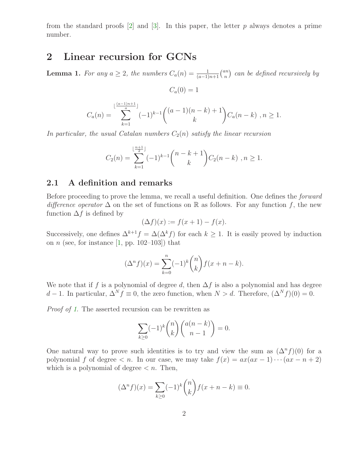from the standard proofs  $[2]$  and  $[3]$ . In this paper, the letter p always denotes a prime number.

### <span id="page-1-0"></span>2 Linear recursion for GCNs

**Lemma 1.** For any  $a \geq 2$ , the numbers  $C_a(n) = \frac{1}{(a-1)n+1} {an \choose n}$  $\binom{nn}{n}$  can be defined recursively by

$$
C_a(0)=1
$$

$$
C_a(n) = \sum_{k=1}^{\lfloor \frac{(a-1)n+1}{a} \rfloor} (-1)^{k-1} \binom{(a-1)(n-k)+1}{k} C_a(n-k) , n \ge 1.
$$

In particular, the usual Catalan numbers  $C_2(n)$  satisfy the linear recursion

$$
C_2(n) = \sum_{k=1}^{\lfloor \frac{n+1}{2} \rfloor} (-1)^{k-1} {n-k+1 \choose k} C_2(n-k) , n \ge 1.
$$

#### 2.1 A definition and remarks

Before proceeding to prove the lemma, we recall a useful definition. One defines the *forward* difference operator  $\Delta$  on the set of functions on R as follows. For any function f, the new function  $\Delta f$  is defined by

$$
(\Delta f)(x) := f(x+1) - f(x).
$$

Successively, one defines  $\Delta^{k+1} f = \Delta(\Delta^k f)$  for each  $k \geq 1$ . It is easily proved by induction on *n* (see, for instance  $[1, pp. 102-103]$ ) that

$$
(\Delta^n f)(x) = \sum_{k=0}^n (-1)^k \binom{n}{k} f(x+n-k).
$$

We note that if f is a polynomial of degree d, then  $\Delta f$  is also a polynomial and has degree d − 1. In particular,  $\Delta^N f \equiv 0$ , the zero function, when  $N > d$ . Therefore,  $(\Delta^N f)(0) = 0$ .

Proof of [1](#page-1-0). The asserted recursion can be rewritten as

$$
\sum_{k\geq 0} (-1)^k \binom{n}{k} \binom{a(n-k)}{n-1} = 0.
$$

One natural way to prove such identities is to try and view the sum as  $(\Delta^n f)(0)$  for a polynomial f of degree  $\lt n$ . In our case, we may take  $f(x) = ax(ax - 1) \cdots (ax - n + 2)$ which is a polynomial of degree  $\lt n$ . Then,

$$
(\Delta^n f)(x) = \sum_{k \ge 0} (-1)^k \binom{n}{k} f(x + n - k) \equiv 0.
$$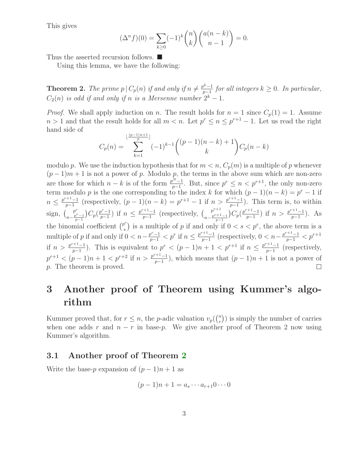This gives

$$
(\Delta^n f)(0) = \sum_{k \ge 0} (-1)^k \binom{n}{k} \binom{a(n-k)}{n-1} = 0.
$$

<span id="page-2-0"></span>Thus the asserted recursion follows. ■

Using this lemma, we have the following:

**Theorem 2.** The prime  $p \mid C_p(n)$  if and only if  $n \neq \frac{p^k-1}{n-1}$  $\frac{p^{k}-1}{p-1}$  for all integers  $k \geq 0$ . In particular,  $C_2(n)$  is odd if and only if n is a Mersenne number  $2^k - 1$ .

*Proof.* We shall apply induction on n. The result holds for  $n = 1$  since  $C_p(1) = 1$ . Assume  $n > 1$  and that the result holds for all  $m < n$ . Let  $p^r \leq n \leq p^{r+1} - 1$ . Let us read the right hand side of  $(n-1)n+1$ 

$$
C_p(n) = \sum_{k=1}^{\lfloor \frac{(p-1)n+1}{p} \rfloor} (-1)^{k-1} \binom{(p-1)(n-k)+1}{k} C_p(n-k)
$$

modulo p. We use the induction hypothesis that for  $m < n$ ,  $C_p(m)$  is a multiple of p whenever  $(p-1)m+1$  is not a power of p. Modulo p, the terms in the above sum which are non-zero are those for which  $n - k$  is of the form  $\frac{p^N - 1}{p-1}$ . But, since  $p^r \le n < p^{r+1}$ , the only non-zero term modulo p is the one corresponding to the index k for which  $(p-1)(n-k) = p^r - 1$  if  $n \leq \frac{p^{r+1}-1}{n-1}$ <sup>+1</sup>-1</sub> (respectively,  $(p-1)(n-k) = p^{r+1} - 1$  if  $n > \frac{p^{r+1}-1}{p-1}$  $\frac{1}{p-1}$ ). This term is, to within sign,  $\int_{r}^{p^r}$  $n-\frac{p^r-1}{p-1}$  $C_p\left(\frac{p^r-1}{p-1}\right)$  $\frac{p^{r}-1}{p-1}$ ) if  $n \leq \frac{p^{r+1}-1}{p-1}$  $rac{p^{r+1}-1}{p-1}$  (respectively,  $\binom{p^{r+1}}{n-p^{r+1}}$  $n-\frac{p^{r+1}-1}{p-1}$  $C_p(\frac{p^{r+1}-1}{n-1})$  $\frac{p^{r+1}-1}{p-1}$ ) if  $n > \frac{p^{r+1}-1}{p-1}$  $\frac{1}{p-1}$ ). As the binomial coefficient  $\binom{p^r}{s}$  is a multiple of p if and only if  $0 < s < p^r$ , the above term is a s multiple of p if and only if  $0 < n - \frac{p^r - 1}{p - 1} < p^r$  if  $n \le \frac{p^{r+1} - 1}{p - 1}$ <sup>+1</sup><sup>-1</sup> (respectively,  $0 < n - \frac{p^{r+1}-1}{p-1} < p^{r+1}$ if  $n > \frac{p^{r+1}-1}{n-1}$ <sup>+1</sup>-1</sub>). This is equivalent to  $p^{r} < (p-1)n + 1 < p^{r+1}$  if  $n \leq \frac{p^{r+1}-1}{p-1}$  $\frac{p-1}{p-1}$  (respectively,  $p^{r+1} < (p-1)n + 1 < p^{r+2}$  if  $n > \frac{p^{r+1}-1}{n-1}$  $\frac{p+1}{p-1}$ , which means that  $(p-1)n+1$  is not a power of p. The theorem is proved.

## 3 Another proof of Theorem using Kummer's algorithm

Kummer proved that, for  $r \leq n$ , the *p*-adic valuation  $v_p(\binom{n}{r})$  $\binom{n}{r}$ ) is simply the number of carries when one adds r and  $n - r$  in base-p. We give another proof of Theorem 2 now using Kummer's algorithm.

#### 3.1 Another proof of Theorem [2](#page-2-0)

Write the base-p expansion of  $(p-1)n + 1$  as

$$
(p-1)n + 1 = a_s \cdots a_{r+1} 0 \cdots 0
$$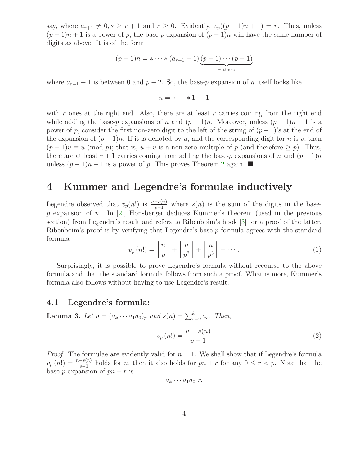say, where  $a_{r+1} \neq 0, s \geq r+1$  and  $r \geq 0$ . Evidently,  $v_p((p-1)n+1) = r$ . Thus, unless  $(p-1)n+1$  is a power of p, the base-p expansion of  $(p-1)n$  will have the same number of digits as above. It is of the form

$$
(p-1)n = * \cdots * (a_{r+1} - 1) \underbrace{(p-1)\cdots(p-1)}_{r \text{ times}}
$$

where  $a_{r+1} - 1$  is between 0 and  $p - 2$ . So, the base-p expansion of n itself looks like

$$
n = * \cdots * 1 \cdots 1
$$

with r ones at the right end. Also, there are at least r carries coming from the right end while adding the base-p expansions of n and  $(p-1)n$ . Moreover, unless  $(p-1)n + 1$  is a power of p, consider the first non-zero digit to the left of the string of  $(p-1)$ 's at the end of the expansion of  $(p-1)n$ . If it is denoted by u, and the corresponding digit for n is v, then  $(p-1)v \equiv u \pmod{p}$ ; that is,  $u + v$  is a non-zero multiple of p (and therefore  $\geq p$ ). Thus, there are at least  $r + 1$  carries coming from adding the base-p expansions of n and  $(p - 1)n$ unless  $(p-1)n + 1$  is a power of p. This proves Theorem [2](#page-2-0) again. ■

## 4 Kummer and Legendre's formulae inductively

Legendre observed that  $v_p(n!)$  is  $\frac{n-s(n)}{p-1}$  where  $s(n)$  is the sum of the digits in the base $p$  expansion of  $n$ . In [\[2\]](#page-6-0), Honsberger deduces Kummer's theorem (used in the previous section) from Legendre's result and refers to Ribenboim's book [\[3\]](#page-6-1) for a proof of the latter. Ribenboim's proof is by verifying that Legendre's base-p formula agrees with the standard formula

$$
v_p(n!) = \left\lfloor \frac{n}{p} \right\rfloor + \left\lfloor \frac{n}{p^2} \right\rfloor + \left\lfloor \frac{n}{p^3} \right\rfloor + \cdots \tag{1}
$$

Surprisingly, it is possible to prove Legendre's formula without recourse to the above formula and that the standard formula follows from such a proof. What is more, Kummer's formula also follows without having to use Legendre's result.

#### 4.1 Legendre's formula:

**Lemma 3.** Let  $n = (a_k \cdots a_1 a_0)_p$  and  $s(n) = \sum_{r=0}^{k} a_r$ . Then,

$$
v_p(n!) = \frac{n - s(n)}{p - 1} \tag{2}
$$

*Proof.* The formulae are evidently valid for  $n = 1$ . We shall show that if Legendre's formula  $v_p(n!) = \frac{n-s(n)}{p-1}$  holds for n, then it also holds for  $pn + r$  for any  $0 \le r < p$ . Note that the base-p expansion of  $pn + r$  is

$$
a_k \cdots a_1 a_0 r.
$$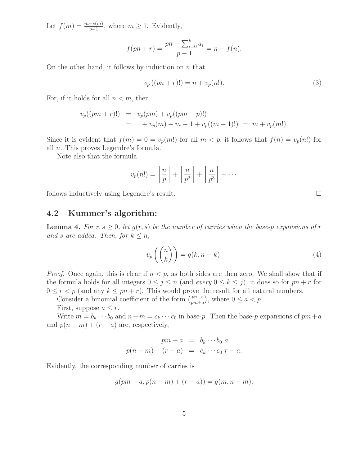Let  $f(m) = \frac{m - s(m)}{p - 1}$ , where  $m \geq 1$ . Evidently,

$$
f(pn + r) = \frac{pn - \sum_{i=0}^{k} a_i}{p - 1} = n + f(n).
$$

On the other hand, it follows by induction on  $n$  that

$$
v_p((pn+r)!) = n + v_p(n!).
$$
\n(3)

For, if it holds for all  $n < m$ , then

$$
v_p((pm+r)!) = v_p(pm) + v_p((pm-p)!)
$$
  
= 1 + v\_p(m) + m - 1 + v\_p((m-1)!) = m + v\_p(m!).

Since it is evident that  $f(m) = 0 = v_p(m!)$  for all  $m < p$ , it follows that  $f(n) = v_p(n!)$  for all n. This proves Legendre's formula.

Note also that the formula

$$
v_p(n!) = \left\lfloor \frac{n}{p} \right\rfloor + \left\lfloor \frac{n}{p^2} \right\rfloor + \left\lfloor \frac{n}{p^3} \right\rfloor + \cdots
$$

follows inductively using Legendre's result.

#### 4.2 Kummer's algorithm:

**Lemma 4.** For  $r, s \geq 0$ , let  $q(r, s)$  be the number of carries when the base-p expansions of r and s are added. Then, for  $k \leq n$ ,

$$
v_p\left(\binom{n}{k}\right) = g(k, n-k). \tag{4}
$$

*Proof.* Once again, this is clear if  $n < p$ , as both sides are then zero. We shall show that if the formula holds for all integers  $0 \leq j \leq n$  (and every  $0 \leq k \leq j$ ), it does so for  $pn + r$  for  $0 \le r < p$  (and any  $k \le pn + r$ ). This would prove the result for all natural numbers.

Consider a binomial coefficient of the form  $\binom{pn+r}{pm+r}$  $_{pm+a}^{pn+r}$ , where  $0 \le a < p$ .

First, suppose  $a \leq r$ .

Write  $m = b_k \cdots b_0$  and  $n - m = c_k \cdots c_0$  in base-p. Then the base-p expansions of  $pm + a$ and  $p(n - m) + (r - a)$  are, respectively,

$$
pm + a = bk \cdots b0 a
$$
  

$$
p(n-m) + (r-a) = ck \cdots c0 r - a.
$$

Evidently, the corresponding number of carries is

$$
g(pm + a, p(n - m) + (r - a)) = g(m, n - m).
$$

 $\Box$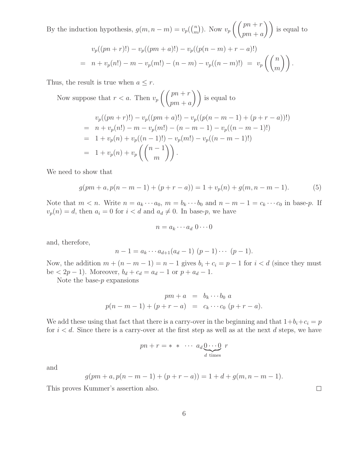By the induction hypothesis,  $g(m, n-m) = v_p(\binom{n}{m})$  $\binom{n}{m}$ ). Now  $v_p$  $\int$   $\int$   $pn + r$  $pm + a$ ) is equal to

$$
v_p((pn+r)!) - v_p((pm+a)!) - v_p((p(n-m)+r-a)!)
$$
  
=  $n + v_p(n!) - m - v_p(m!) - (n-m) - v_p((n-m)!) = v_p\left(\binom{n}{m}\right).$ 

Thus, the result is true when  $a \leq r$ .

Now suppose that  $r < a$ . Then  $v_p$  $\int$   $\int$   $pn + r$  $pm + a$ ) is equal to

$$
v_p((pn+r)!) - v_p((pm+a)!) - v_p((p(n-m-1) + (p+r-a))!)
$$
  
=  $n + v_p(n!) - m - v_p(m!) - (n-m-1) - v_p((n-m-1)!)$   
=  $1 + v_p(n) + v_p((n-1)!) - v_p(m!) - v_p((n-m-1)!)$   
=  $1 + v_p(n) + v_p\left(\binom{n-1}{m}\right).$ 

We need to show that

$$
g(pm + a, p(n - m - 1) + (p + r - a)) = 1 + v_p(n) + g(m, n - m - 1).
$$
 (5)

Note that  $m < n$ . Write  $n = a_k \cdots a_0$ ,  $m = b_k \cdots b_0$  and  $n - m - 1 = c_k \cdots c_0$  in base-p. If  $v_p(n) = d$ , then  $a_i = 0$  for  $i < d$  and  $a_d \neq 0$ . In base-p, we have

$$
n = a_k \cdots a_d \; 0 \cdots 0
$$

and, therefore,

$$
n-1 = a_k \cdots a_{d+1}(a_d-1) \ (p-1) \cdots (p-1).
$$

Now, the addition  $m + (n - m - 1) = n - 1$  gives  $b_i + c_i = p - 1$  for  $i < d$  (since they must be  $\langle 2p-1 \rangle$ . Moreover,  $b_d + c_d = a_d - 1$  or  $p + a_d - 1$ .

Note the base- $p$  expansions

$$
pm + a = b_k \cdots b_0 a
$$
  

$$
p(n - m - 1) + (p + r - a) = c_k \cdots c_0 (p + r - a).
$$

We add these using that fact that there is a carry-over in the beginning and that  $1+b_i+c_i = p$ for  $i < d$ . Since there is a carry-over at the first step as well as at the next d steps, we have

$$
pn + r = * * \cdots a_d \underbrace{0 \cdots 0}_{d \text{ times}} r
$$

and

$$
g(pm + a, p(n - m - 1) + (p + r - a)) = 1 + d + g(m, n - m - 1).
$$

This proves Kummer's assertion also.

 $\Box$